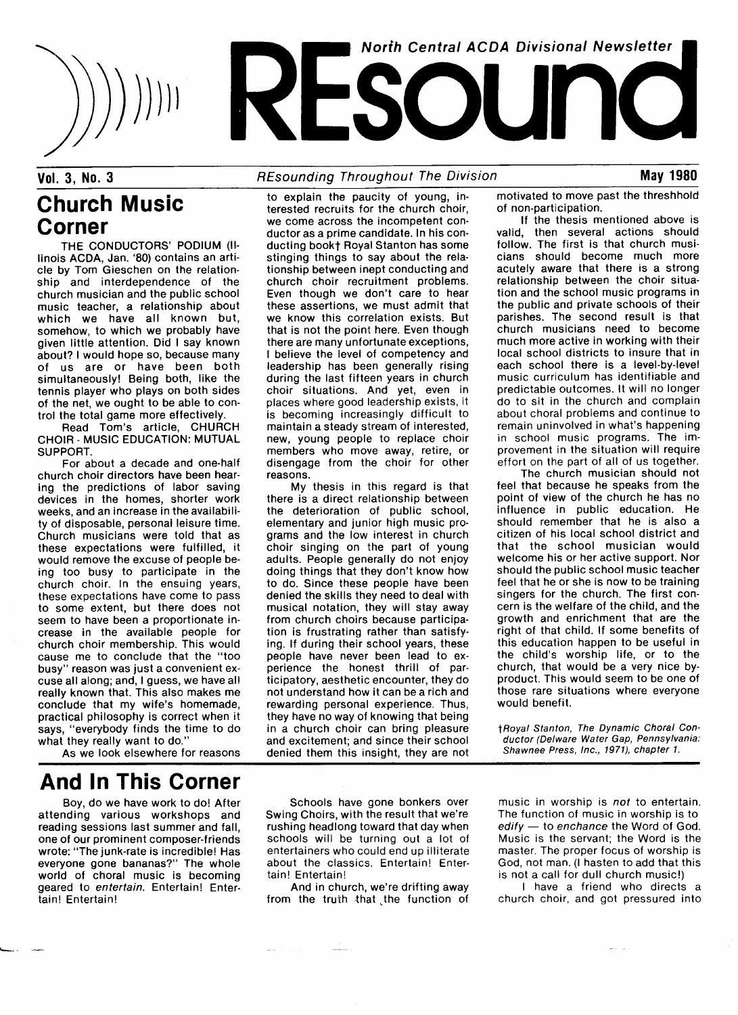

## Church Music Corner

THE CONDUCTORS' PODIUM (IIlinois ACDA, Jan. `80) contains an article by Tom Gieschen on the relationship and interdependence of the church musician and the public school music teacher, a relationship about which we have all known but, somehow, to which we probably have given little attention. Did I say known about? I would hope so, because many of us are or have been both simultaneously! Being both, like the tennis player who plays on both sides of the net, we ought to be able to control the total game more effectively.

Read Tom's article, CHURCH CHOIR - MUSIC EDUCATION: MUTUAL SUPPOBT.

For about a decade and one-half church choir directors have been hearing the predictions of labor saving devices in the homes, shorter work weeks, and an increase in the availability of disposable, personal leisure time. Church musicians were told that as these expectations were fulfilled, it would remove the excuse of people being too busy to participate in the church choir. In the ensuing years, these expectations have come to pass to some extent, but there does not seem to have been a proportionate increase in the available people for church choir membership. This would cause me to conclude that the "too busy" reason was just a convenient excuse all along; and, I guess, we have all really known that. This also makes me conclude that my wife's homemade, practical philosophy is correct when it says, "everybody finds the time to do what they really want to do."

As we look elsewhere for reasons

## And ln This Corner

Boy, do we have work to do! After attending various workshops and reading sessions last summer and fall, one of our prominent composer-friends wrote: "The junk-rate is incredible! Has everyone gone bananas?" The whole world of choral music is becoming geared to entertain. Entertain! Entertain! Entertain!

Vol. 3, No. 3 **REsounding Throughout The Division** May 1980

to explain the paucity of young, in-

terested recruits for the church choir, we come across the incompetent conductor as a prime candidate. In his conducting book† Royal Stanton has some stinging things to say about the relationship between inept conducting and church choir recruitment problems. Even though we don't care to hear these assertions, we must admit that we know this correlation exists. But that is not the point here. Even though there are many unfortunate exceptions, I believe the level of competency and leadership has been generally rising during the last fifteen years in church choir situations. And yet, even in places where good leadership exists, it is becoming increasingly difficult to maintain a steady stream of interested, new, young people to replace choir members who move away, retire, or disengage from the choir for other reasons.

My thesis in this regard is that there is a direct relationship between the deterioration of public school, elementary and junior high music programs and the low interest in church choir singing on the part of young adults. People generally do not enjoy doing things that they don't know how to do. Since these people have been denied the skills they need to deal with musical notation, they will stay away from church choirs because participation is frustrating rather than satisfying. If during their school years, these people have never been lead to experience the honest thrill of participatory, aesthetic encounter, they do not understand how it can be a rich and rewarding personal experience. Thus, they have no way of knowing that being in a church choir can bring pleasure and excitement; and since their school denied them this insight, they are not motivated to move past the threshhold of non-participation.

If the thesis mentioned above is valid, then several actions should follow. The first is that church musicians should become much more acutely aware that there is a strong relationship between the choir situation and the school music programs in the public and private schools of their parishes. The second result is that church musicians need to become much more active in working with their local school districts to insure that in each school there is a level-by-level music curriculum has identifiable and predictable outcomes. It will no longer do to sit in the church and complain about choral problems and continue to remain uninvolved in what's happening in school music programs. The improvement in the situation will require effort on the part of all of us together.

The church musician should not feel that because he speaks from the point of view of the church he has no influence in public education. He should remember that he is also a citizen of his local school district and that the school musician would welcome his or her active support. Nor should the public school music teacher feel that he or she is now to be training singers for the church. The first concern is the welfare of the child, and the growth and enrichment that are the right of that child. If some benefits of this education happen to be useful in the child's worship life, or to the church, that would be a very nice byproduct. This would seem to be one of those rare situations where everyone would benefit.

+Royal Stanton, The Dynamic Choral Conductor (Delware Water Gap, Pennsylvania: Shawnee Press, Inc., 1971), chapter 1.

Schools have gone bonkers over Swing Choirs, with the result that we're rushing headlong toward that day when schools will be turning out a lot of entertainers who could end up illiterate about the classics. Entertain! Entertain! Entertain!

And in church, we're drifting away from the truth that the function of

music in worship is not to entertain. The function of music in worship is to  $editv - to$  enchance the Word of God. Music is the servant; the Word is the master. The proper focus of worship is God, not man. (I hasten to add that this is not a call for dull church music!)

I have a friend who directs a church choir, and got pressured into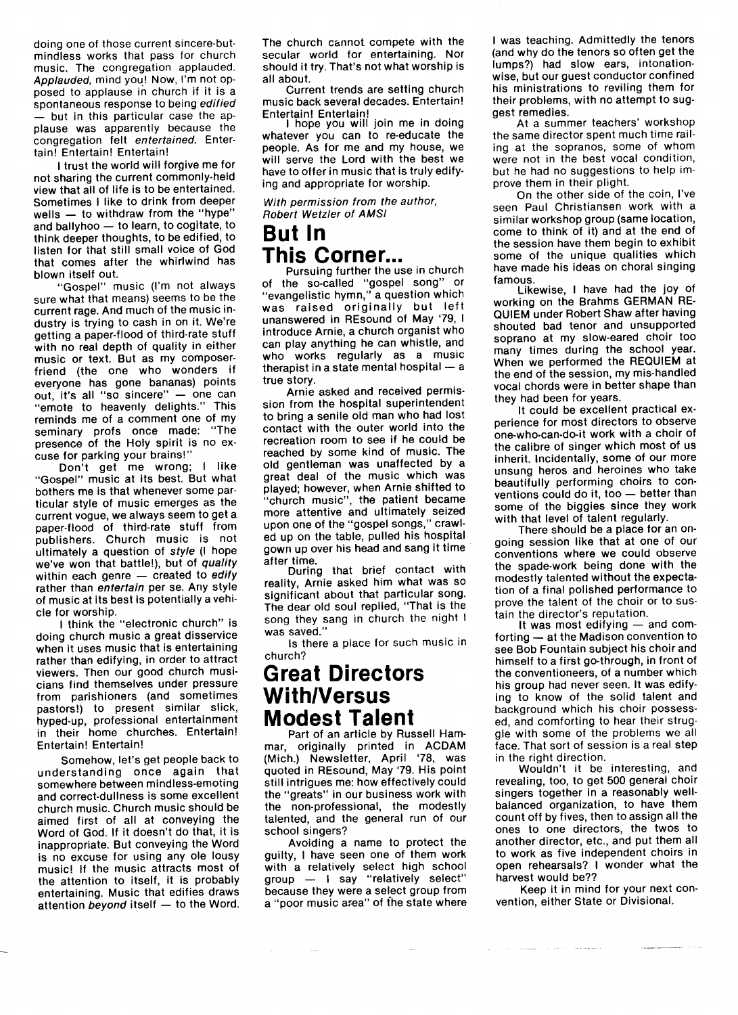doing one of those current sincere-butmindless works that pass for church music. The congregation applauded. Applauded, mind you! Now, I'm not opposed to applause in church if it is a spontaneous response to being edified but in this particular case the applause was apparently because the congregation felt entertained. Entertain! Entertain! Entertain!

I trust the world will forgive me for not sharing the current commonly-held view that all of life is to be entertained. Sometimes I like to drink from deeper wells  $-$  to withdraw from the "hype" and ballyhoo - to learn, to cogitate, to think deeper thoughts, to be edified, to listen for that still small voice of God that comes after the whirlwind has blown itself out.

"Gospel" music (l'm not always sure what that means) seems to be the current rage. And much of the music industry is trying to cash in on it. We're getting a paper-flood of third-rate stuff with no real depth of quality in either music or text. But as my composerfriend (the one who wonders if everyone has gone bananas) points  $out$ , it's all "so sincere"  $-$  one can "emote to heavenly delights." This reminds me of a comment one of my seminary profs once made: "The presence of the Holy spirit is no excuse for parking your brains!"

Don't get me wrong; I like "Gospel" music at its best. But what bothers me is that whenever some particular style of music emerges as the current vogue, we always seem to get a paper-flood of third-rate stuff from publishers. Church music is not ultimately a question of style (I hope we've won that battle!), but of quality within each genre  $-$  created to edify rather than entertain per se. Any style of music at its best is potentially a vehicle for worship.

I think the "electronic church" is doing church music a great disservice when it uses music that is entertaining rather than edifying, in order to attract viewers. Then our good church musicians find themselves under pressure from parishioners (and sometimes pastors!) to present similar slick, hyped-up, professional entertainment in their home churches. Entertain! Entertain! Entertain!

Somehow, Iet's get people back to understanding once again that somewhere between mindless-emoting and correct-dullness is some excellent church music. Church music should be aimed first of all at conveying the Word of God. If it doesn't do that, it is inappropriate. But conveying the Word is no excuse for using any ole lousy music! lf the music attracts most of the attention to itself, it is probably entertaining. Music that edifies draws attention beyond itself  $-$  to the Word. The church cannot compete with the secular world for entertaining. Nor should it try. That's not what worship is all about.

Current trends are setting church music back several decades. Entertain! Entertain! Entertain!

I hope you will join me in doing whatever you can to re-educate the people. As for me and my house, we will serve the Lord with the best we have to offer in music that is truly edifying and appropriate for worship.

With permission from the author, **Robert Wetzler of AMSI** 

### But ln This Corner...

Pursuing further the use in church of the so-called "gospel song" or "evangelistic hymn," a question which was raised originally but left unanswered in REsound of May '79, I introduce Arnie, a church organist who can play anything he can whistle, and who works regularly as a music therapist in a state mental hospital  $-$  a true story.

Arnie asked and received permission from the hospital superintendent to bring a senile old man who had lost contact with the outer world into the recreation room to see if he could be reached by some kind of music. The old gentleman was unaffected by a great deal of the music which was played; however, when Arnie shifted to "church music", the patient became more attentive and ultimately seized upon one of the "gospel songs," crawled up on the table, pulled his hospital gown up over his head and sang it time after time.

During that brief contact with reality, Arnie asked him what was so significant about that particular song. The dear old soul replied, "That is the song they sang in church the night I was saved."

ls there a place for such music in church?

### Great Directors With/Versus Modest Talent

Part of an article by Russell Hammar, originally printed in ACDAM (Mich.) Newsletter, April '78, was quoted in REsound, May '79. His point still intrigues me: how effectively could the "greats" in our business work with the non-professional, the modestly talented, and the general run of our school singers?

Avoiding a name to protect the guilty, I have seen one of them work with a relatively select high school group - I say "relatively select"<br>because they were a select group from a "poor music area" of the state where

 $\sim$ 

I was teaching. Admittedly the tenors (and why do the tenors so often get the lumps?) had slow ears, intonationwise, but our quest conductor confined his ministrations to reviling them for their problems, with no attempt to suggest remedies.

At a summer teachers' workshop the same director spent much time railing at the sopranos, some of whom were not in the best vocal condition, but he had no suggestions to help improve them in their plight.

On the other side of the coin, l've seen Paul Christiansen work with a similar workshop group (same location, come to think of it) and at the end of the session have them begin to exhibit some of the unique qualities which have made his ideas on choral singing famous.

Likewise, I have had the joy of working on the Brahms GERMAN RE-QUIEM under Robert Shaw after having shouted bad tenor and unsupported soprano at my slow-eared choir too many times during the school year. When we performed the REQUIEM at the end of the session, my mis-handled vocal chords were in better shape than they had been for years.

It could be excellent practical experience for most directors to observe one-who-can-do-it work with a choir of the calibre of singer which most of us inherit. Incidentally, some of our more unsung heros and heroines who take beautifully performing choirs to conventions could do it, too - better than some of the biggies since they work with that level of talent regularly.

There should be a place for an ongoing session like that at one of our conventions where we could observe the spade-work being done with the modestly talented without the expectation of a final polished performance to prove the talent of the choir or to sustain the director's reputation.

It was most edifying  $-$  and comforting  $-$  at the Madison convention to see Bob Fountain subject his choir and himself to a first go-through, in front of the conventioneers, of a number which his group had never seen. It was edifying to know of the solid talent and background which his choir possessed, and comforting to hear their struggle with some of the problems we all face. That sort of session is a real step in the right direction.

Wouldn't it be interesting, and revealing, too, to get 500 general choir singers together in a reasonably wellbalanced organization, to have them count off by fives, then to assign all the ones to one directors, the twos to another director, etc., and put them all to work as five independent choirs in open rehearsals? I wonder what the harvest would be??

Keep it in mind for your next convention, either State or Divisional.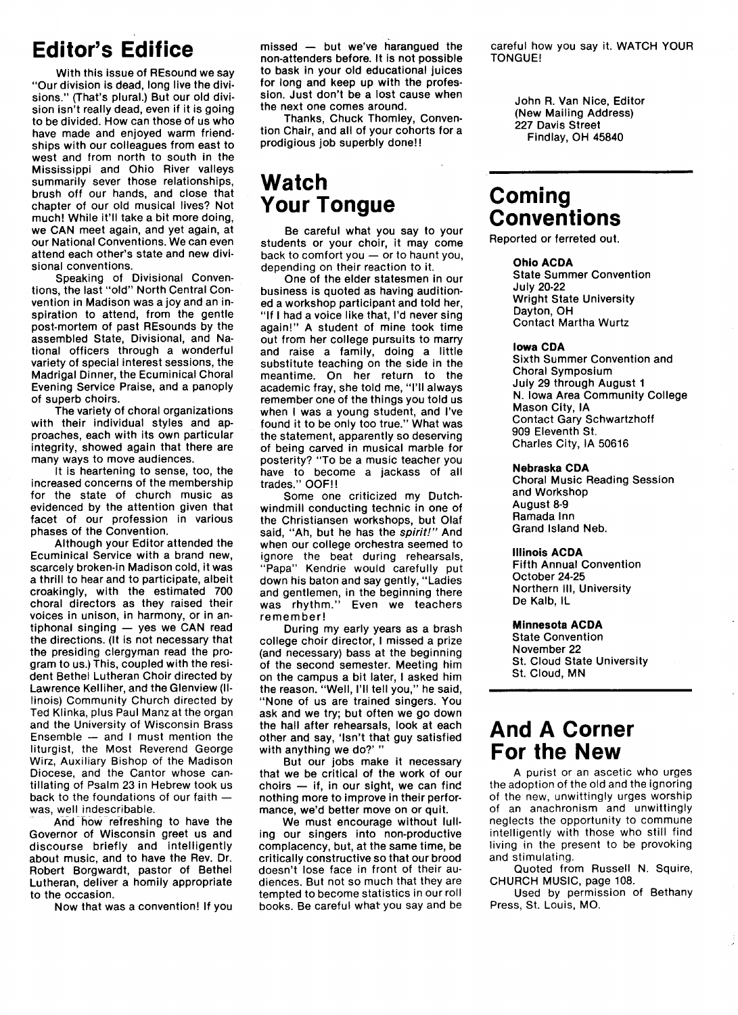## **Editor's Edifice**

With this issue of REsound we say "Our division is dead, long live the divisions." (That's plural.) But our old division isn't really dead, even if it is going to be divided. How can those of us who have made and enjoyed warm friendships with our colleagues from east to west and from north to south in the Mississippi and Ohio Fiver valleys summarily sever those relationships, brush off our hands, and close that chapter of our old musical lives? Not much! While it'll take a bit more doing, we CAN meet again, and yet again, at our National Conventions. We can even attend each other's state and new divisional conventions.

Speaking of Divisional Conventions, the last "old" North Central Convention in Madison was a joy and an inspiration to attend, from the gentle post-mortem of past BEsounds by the assembled State, Divisional, and National officers through a wonderful variety of special interest sessions, the Madrigal Dinner, the Ecuminical Choral Evening Service Praise, and a panoply of superb choirs.

The variety of choral organizations with their individual styles and approaches, each with its own particular integrity, showed again that there are many ways to move audiences.

It is heartening to sense, too, the increased concerns of the membership for the state of church music as evidenced by the attention given that facet of our profession in various phases of the Convention.

Although your Editor attended the Ecuminical Service with a brand new, scarcely broken-in Madjson cold, it was a thrill to hear and to participate, albeit croakingly, with the estimated 700 choral directors as they raised their voices in unison, in harmony, or in an $tiphonal$  singing  $-$  yes we CAN read the directions. (lt is not necessary that the presiding clergyman read the program to us.) This, coupled with the resident Bethel Lutheran Choir directed by Lawrence Kelliher, and the Glenview (Illinois) Community Church directed by Ted Klinka, plus Paul Manz at the organ and the University of Wisconsin Brass Ensemble  $-$  and I must mention the liturgist, the Most Beverend George Wirz, Auxiliary Bishop of the Madison Diocese, and the Cantor whose cantillating of Psalm 23 in Hebrew took us back to the foundations of our faith was, well indescribable.

And how refreshing to have the Governor of Wisconsin greet us and discourse briefly and intelligently about music, and to have the Rev. Dr. Robert Borgwardt, pastor of Bethel Lutheran, deliver a homily appropriate to the occasion.

Now that was a convention! lf you

 $m$ issed  $-$  but we've harangued the non-attenders before. It is not possible to bask in your old educational juices for long and keep up with the profession. Just don't be a lost cause when the next one comes around.

Thanks, Chuck Thomley, Convention Chair, and all of your cohorts for a prodigious job superbly done! !

## Watch Your Tongue

Be careful what you say to your students or your choir, it may come back to comfort you  $-$  or to haunt you, depending on their reaction to it.

One of the elder statesmen in our business is quoted as having auditioned a workshop participant and told her, "lf I had a voice like that, l'd never sing again!" A student of mine took time out from her college pursuits to marry and raise a family, doing a little substitute teaching on the side in the meantime. On her return to the academic fray, she told me, "1'11 always remember one of the things you told us when I was a young student, and l've found it to be only too true." What was the statement, apparently so deserving of being carved in musical marble for posterity? "To be a music teacher you have to become a jackass of all trades." OOF!!

Some one criticized my Dutchwindmill conducting technic in one of the Christiansen workshops, but Olaf said, "Ah, but he has the spirit!" And when our college orchestra seemed to ignore the beat during rehearsals, "Papa" Kendrie would carefully put down his baton and say gently, "Ladies and gentlemen, in the beginning there was rhythm." Even we teachers remember!

During my early years as a brash college choir director, I missed a prize (and necessary) bass at the beginning of the second semester. Meeting him on the campus a bit later, I asked him the reason. "Well, I'll tell you," he said, "None of us are trained singers. You ask and we try; but often we go down the hall after rehearsals, look at each other and say, 'Isn't that guy satisfied with anything we do?' "

But our jobs make it necessary that we be critical of the work of our choirs  $-$  if, in our sight, we can find nothing more to improve in their performance, we'd better move on or quit.

We must encourage without lulling our singers into non-productive complacency, but, at the same time, be critically constructive so that our brood doesn't lose face in front of their audiences. But not so much that they are tempted to become statistics in our roll books. Be careful what you say and be careful how you say it. WATCH YOUP TONGUE!

> John R. Van Nice, Editor (New Mailing Address) 227 Davis Street Findlay, OH 45840

### Coming **Conventions**

Reported or ferreted out.

### Ohio ACDA

State Summer Convention July 20-22 Wright State University Dayton, OH Contact Martha Wurtz

#### Iowa CDA

Sixth Summer Convention and Choral Symposium July 29 through August 1 N. Iowa Area Community College Mason City, lA Contact Gary Schwartzhoff 909 Eleventh St. Charles City, lA 50616

#### Nebraska CDA

Choral Music Beading Session and Workshop August 8-9 Pamada Inn Grand Island Neb.

#### Illinois ACDA

Fifth Annual Convention October 24-25 Northern Ill, University De Kalb, lL

#### Minnesota ACDA

State Convention November 22 St. Cloud State University St. Cloud, MN

### And A Corner For the New

A purist or an ascetic who urges the adoption of the old and the ignoring of the new, unwittingly urges worship of an anachronism and unwittingly neglects the opportunity to commune intelligently with those who still find living in the present to be provoking and stimulating.

Quoted from Bussell N. Squire, CHURCH MUSIC, page 108.

Used by permission of Bethany Press, St. Louis, MO.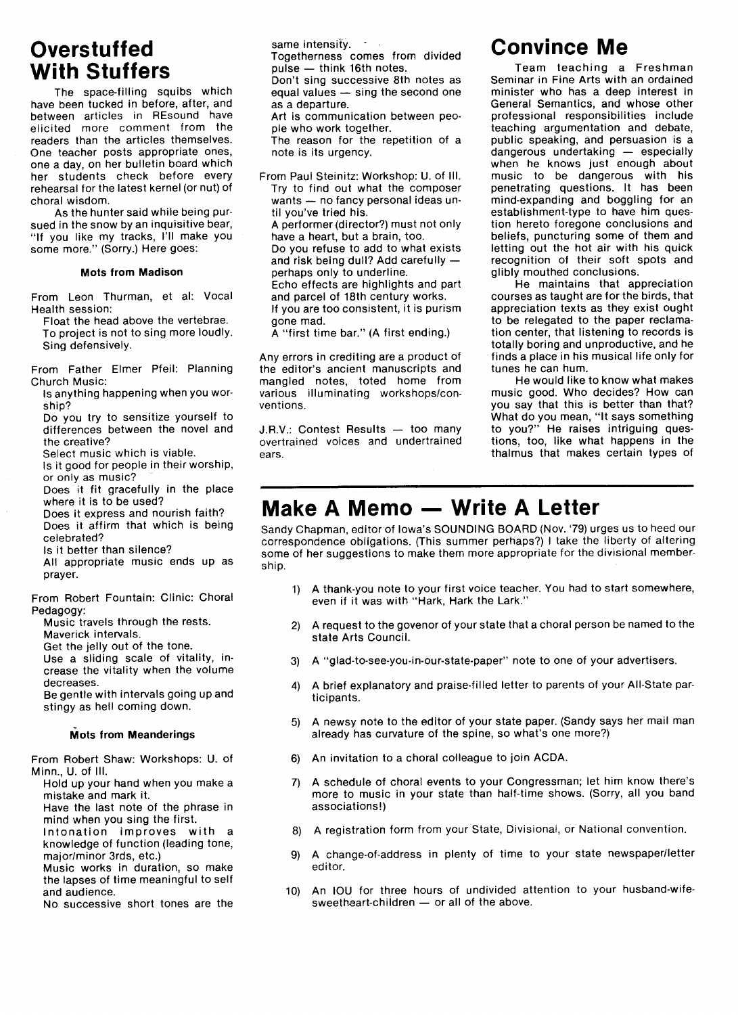## **Overstuffed** With Stuffers

The space-filling squibs which have been tucked in before, after, and between articles in REsound have elicited more comment from the readers than the articles themselves. One teacher posts appropriate ones, one a day, on her bulletin board which her students check before every rehearsal for the latest kernel (or nut) of choral wisdom.

As the hunter said while being pursued in the snow by an inquisitive bear, "If you like my tracks, 1'11 make you some more." (Sorry.) Here goes:

### Mots from Madison

From Leon Thurman, et al: Vocal Health session:

Float the head above the vertebrae. To project is not to sing more loudly. Sing defensively.

From Father Elmer Pfeil: Planning Church Music:

- ls anything happening when you worship?
- Do you try to sensitize yourself to differences between the novel and the creative?

Select music which is viable.

- Is it good for people in their worship, or only as music?
- Does it fit gracefully in the place where it is to be used?
- Does it express and nourish faith? Does it affirm that which is being

celebrated? ls it better than silence?

All appropriate music ends up as prayer.

From Robert Fountain: Clinic: Choral Pedagogy:

- Music travels through the rests.
- Maverick intervals.
- Get the jelly out of the tone.

Use a sliding scale of vitality, increase the vitality when the volume decreases.

Be gentle with intervals going up and stingy as hell coming down.

#### **Mots from Meanderings**

From Bobert Shaw: Workshops: U. of Minn., U. of Ill.

- Hold up your hand when you make a mistake and mark it.
- Have the last note of the phrase in mind when you sing the first.
- Intonation improves with a knowledge of function (leading tone, major/minor 3rds, etc.)
- Music works in duration, so make the lapses of time meaningful to self and audience.

No successive short tones are the

same intensity.  $\cdot$ 

Togetherness comes from divided  $pulse -$  think 16th notes.

Don't sing successive 8th notes as  $\overline{\overline{\phantom{a}}}$  equal values  $\overline{-}$  sing the second one as a departure.

Art is communication between people who work together.

The reason for the repetition of a note is its urgency.

From Paul Steinitz: Workshop: U. of Ill. Try to find out what the composer wants - no fancy personal ideas until you've tried his. A performer (director?) must not only have a heart, but a brain, too. Do you refuse to add to what exists and risk being dull? Add carefully  $$ perhaps only to underline. Echo effects are highlights and part and parcel of 18th century works. If you are too consistent, it is purism gone mad. A "first time bar." (A first ending.)

Any errors in crediting are a product of the editor's ancient manuscripts and mangled notes, toted home from various illuminating workshops/con-

ventions.

 $J.R.V.:$  Contest Results  $-$  too many overtrained voices and undertrained ears.

## Convince Me

Team teaching a Freshman Seminar in Fine Arts with an ordained minister who has a deep interest in General Semantics, and whose other professional responsibilities include teaching argumentation and debate, public speaking, and persuasion is a dangerous undertaking - especially when he knows just enough about music to be dangerous with his penetrating questions. It has been mind-expanding and boggling for an establishment-type to have him question hereto foregone conclusions and beliefs, puncturing some of them and letting out the hot air with his quick recognition of their soft spots and glibly mouthed conclusions.

He maintains that appreciation courses as taught are for the birds, that appreciation texts as they exist ought to be relegated to the paper reclamation center, that listening to records is totally boring and unproductive, and he finds a place in his musical life only for tunes he can hum.

He would like to know what makes music good. Who decides? How can you say that this is better than that? What do you mean, "It says something to you?" He raises intriguing questions, too, like what happens in the thalmus that makes certain types of

## Make A Memo - Write A Letter

Sandy Chapman, editor of lowa's SOUNDING BOARD (Nov. '79) urges us to heed our correspondence obligations. (This summer perhaps?) I take the liberty of altering some of her suggestions to make them more appropriate for the divisional membership.

- 1) A thank-you note to your first voice teacher. You had to start somewhere, even if it was with "Hark, Hark the Lark."
- 2) A request to the govenor of your state that a choral person be named to the state Arts Council.
- 3) A "glad-to-see-you-in-our-state-paper" note to one of your advertisers.
- 4) A brief explanatory and praise-filled letter to parents of your All-State participants.
- 5) A newsy note to the editor of your state paper. (Sandy says her mail man already has curvature of the spine, so what's one more?)
- 6) An invitation to a choral colleague to join ACDA.
- 7) A schedule of choral events to your Congressman; let him know there's more to music in your state than half-time shows. (Sorry, all you band associations!)
- 8) A registration form from your State, Divisional, or National convention.
- 9) A change-of-address in plenty of time to your state newspaper/letter editor.
- 10) An IOU for three hours of undivided attention to your husband-wifesweetheart-children - or all of the above.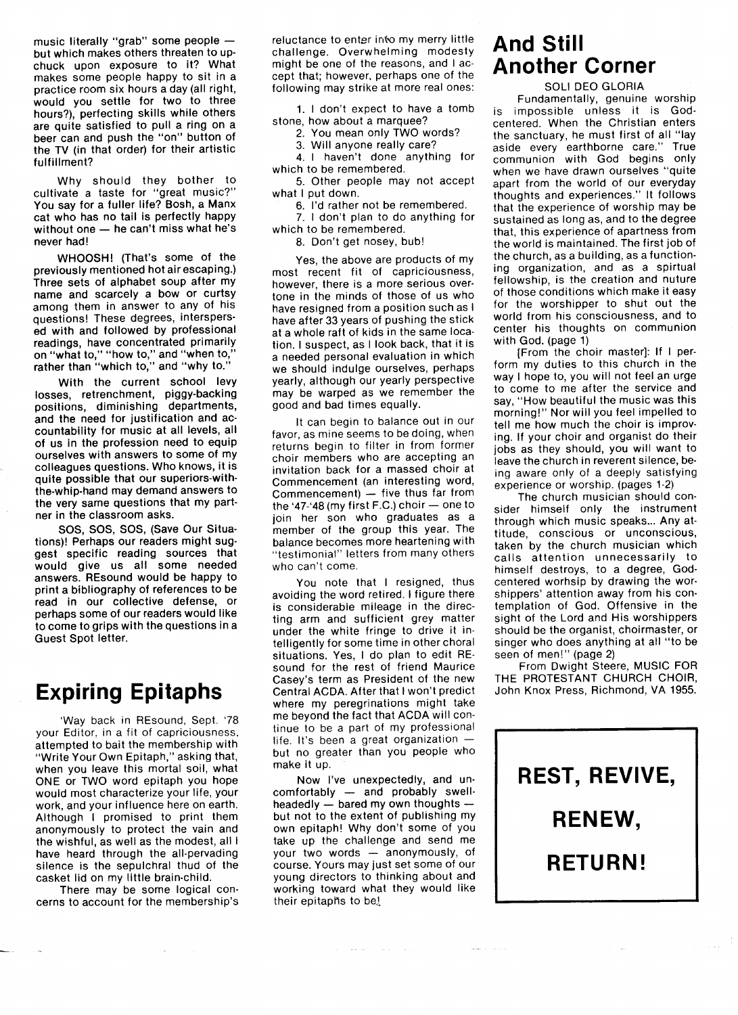music literally "grab" some people  $$ but which makes others threaten to upchuck upon exposure to it? What makes some people happy to sit in a practice room six hours a day (all right, would you settle for two to three hours?), perfecting skills while others are quite satisfied to pull a ring on a beer can and push the "on" button of the TV (in that order) for their artistic fulfillment?

Why should they bother to cultivate a taste for "great music?" You say for a fuller life? Bosh, a Manx cat who has no tail is perfectly happy without one  $-$  he can't miss what he's never had!

WHOOSH! (That's some of the previously mentioned hot air escaping.) Three sets of alphabet soup after my name and scarcely a bow or curtsy among them in answer to any of his questions! These degrees, interspersed with and followed by professional readings, have concentrated primarily on "what to," "how to," and "when to," rather than "which to," and "why to."

With the current school levy losses, retrenchment, piggy-backing positions, diminishing departments, and the need for justification and accountability for music at all levels, all of us in the profession need to equip ourselves with answers to some of my colleagues questions. Who knows, it is quite possible that our superiors-withthe-whip-hand may demand answers to the very same questions that my partner in the classroom asks.

SOS, SOS, SOS, (Save Our Situations)! Perhaps our readers might suggest specific reading sources that would give us all some needed answers. REsound would be happy to print a bibliography of references to be read in our collective defense, or perhaps some of our readers would like to come to grips with the questions in a Guest Spot letter.

## Expiring Epitaphs

'Way back in REsound, Sept. '78 your Editor, in a fit of capriciousness, attempted to bait the membership with "Write Your Own Epitaph," asking that, when you leave this mortal soil, what ONE or TWO word epitaph you hope would most characterize your life, your work, and your influence here on earth. Although I promised to print them anonymously to protect the vain and the wishful, as well as the modest, all I have heard through the all-pervading silence is the sepulchral thud of the casket lid on my little brain-child.

There may be some logical concerns to account for the membership's

reluctance to enter into my merry little challenge. Overwhelming modesty might be one of the reasons, and I accept that; however, perhaps one of the following may strike at more real ones:

1. I don't expect to have a tomb stone, how about a marquee?

- 2. You mean only TWO words?
- 3. Will anyone really care?

4. I haven't done anything for

which to be remembered. 5. Other people may not accept

what I put down.

6. I'd rather not be remembered. 7. I don't plan to do anything for

which to be remembered.

8. Don't get nosey, bub!

Yes, the above are products of my most recent fit of capriciousness, however, there is a more serious overtone in the minds of those of us who have resigned from a position such as I have after 33 years of pushing the stick at a whole raft of kids in the same location. I suspect, as I look back, that it is a needed personal evaluation in which we should indulge ourselves, perhaps yearly, although our yearly perspective may be warped as we remember the good and bad times equally.

It can begin to balance out in our favor, as mine seems to be doing, when returns begin to filter in from former choir members who are accepting an invitation back for a massed choir at Commencement (an interesting word, Commencement)  $-$  five thus far from the '47-'48 (my first F.C.) choir  $-$  one to join her son who graduates as a member of the group this year. The balance becomes more heartening with "testimonial" letters from many others who can't come.

You note that I resigned, thus avoiding the word retired. I figure there is considerable mileage in the directing arm and sufficient grey matter under the white fringe to drive it intelligently for some time in other choral situations. Yes, I do plan to edit REsound for the rest of friend Maurice Casey's term as President of the new Central ACDA. Af ter that I won't predict where my peregrinations might take me beyond the fact that ACDA will continue to be a part of my professional life. It's been a great organization  $$ but no greater than you people who make it up,

Now l've unexpectedly, and uncomfortably - and probably swellheadedly  $\overline{-}$  bared my own thoughts  $\overline{-}$ but not to the extent of publishing my own epitaph! Why don't some of you take up the challenge and send me your two words  $-$  anonymously, of course. Yours may just set some of our young directors to thinking about and working toward what they would like their epitaphs to be!

**Carl Carl** 

### And Still Another Corner

### SOLI DEO GLORIA

Fundamentally, genuine worship is impossible unless it is Godcentered. When the Christian enters the sanctuary, he must first of all "lav aside every earthborne care." True communion with God begins only when we have drawn ourselves "quite apart from the world of our everyday thoughts and experiences." lt follows that the experience of worship may be sustained as long as, and to the degree that, this experience of apartness from the world is maintained. The first job of the church, as a building, as a functioning organization, and as a spirtual fellowship, is the creation and nuture of those conditions which make it easy for the worshipper to shut out the world from his consciousness, and to center his thoughts on communion with God. (page 1)

[From the choir master]: lf I perform my duties to this church in the way I hope to, you will not feel an urge to come to me after the service and say, "How beautiful the music was this morning!" Nor will you feel impelled to tell me how much the choir is improving. If your choir and organist do their jobs as they should, you will want to leave the church in reverent silence, being aware only of a deeply satisfying experience or worship. (pages 1-2)

The church musician should consider himself only the instrument through which music speaks... Any attitude, conscious or unconscious, taken by the church musician which calls attention unnecessarily to himself destroys, to a degree, Godcentered worhsip by drawing the worshippers' attention away from his contemplation of God. Offensive in the sight of the Lord and His worshippers should be the organist, choirmaster, or singer who does anything at all "to be seen of men!" (page 2)

From Dwight Steere, MUSIC FOP THE PROTESTANT CHURCH CHOIR, John Knox Press, Richmond, VA 1955.